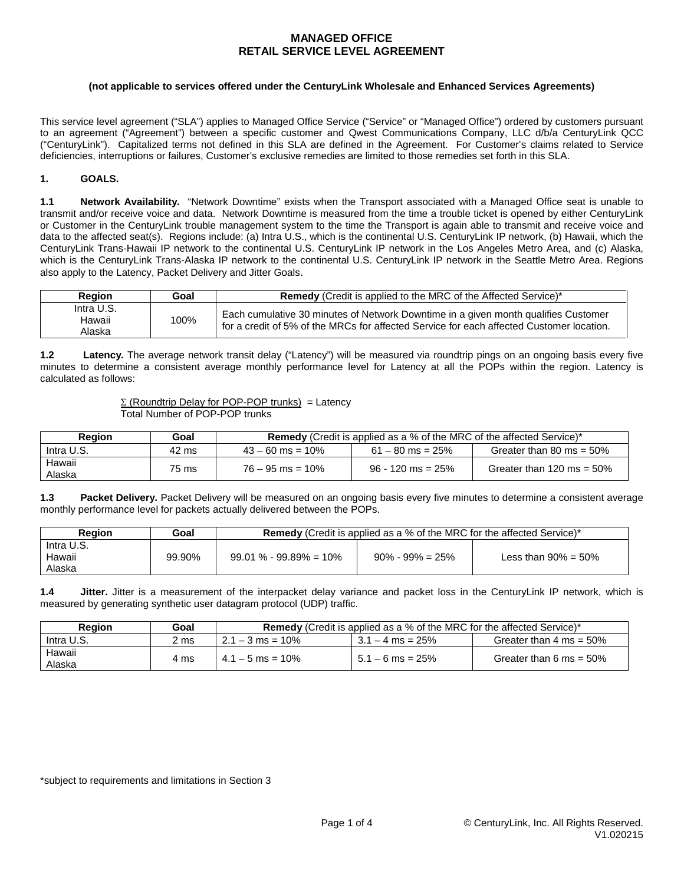#### **(not applicable to services offered under the CenturyLink Wholesale and Enhanced Services Agreements)**

This service level agreement ("SLA") applies to Managed Office Service ("Service" or "Managed Office") ordered by customers pursuant to an agreement ("Agreement") between a specific customer and Qwest Communications Company, LLC d/b/a CenturyLink QCC ("CenturyLink"). Capitalized terms not defined in this SLA are defined in the Agreement. For Customer's claims related to Service deficiencies, interruptions or failures, Customer's exclusive remedies are limited to those remedies set forth in this SLA.

### **1. GOALS.**

**1.1 Network Availability.** "Network Downtime" exists when the Transport associated with a Managed Office seat is unable to transmit and/or receive voice and data. Network Downtime is measured from the time a trouble ticket is opened by either CenturyLink or Customer in the CenturyLink trouble management system to the time the Transport is again able to transmit and receive voice and data to the affected seat(s). Regions include: (a) Intra U.S., which is the continental U.S. CenturyLink IP network, (b) Hawaii, which the CenturyLink Trans-Hawaii IP network to the continental U.S. CenturyLink IP network in the Los Angeles Metro Area, and (c) Alaska, which is the CenturyLink Trans-Alaska IP network to the continental U.S. CenturyLink IP network in the Seattle Metro Area. Regions also apply to the Latency, Packet Delivery and Jitter Goals.

| Region                         | Goal | Remedy (Credit is applied to the MRC of the Affected Service)*                                                                                                                 |  |  |
|--------------------------------|------|--------------------------------------------------------------------------------------------------------------------------------------------------------------------------------|--|--|
| Intra U.S.<br>Hawaii<br>Alaska | 100% | Each cumulative 30 minutes of Network Downtime in a given month qualifies Customer<br>for a credit of 5% of the MRCs for affected Service for each affected Customer location. |  |  |

**1.2 Latency.** The average network transit delay ("Latency") will be measured via roundtrip pings on an ongoing basis every five minutes to determine a consistent average monthly performance level for Latency at all the POPs within the region. Latency is calculated as follows:

> $\Sigma$  (Roundtrip Delay for POP-POP trunks) = Latency Total Number of POP-POP trunks

| Region           | Goal  | <b>Remedy</b> (Credit is applied as a % of the MRC of the affected Service)* |                     |                              |  |
|------------------|-------|------------------------------------------------------------------------------|---------------------|------------------------------|--|
| Intra U.S.       | 42 ms | $43 - 60$ ms = 10%                                                           | $61 - 80$ ms = 25%  | Greater than 80 ms = $50\%$  |  |
| Hawaii<br>Alaska | 75 ms | $76 - 95$ ms = 10%                                                           | $96 - 120$ ms = 25% | Greater than 120 ms = $50\%$ |  |

**1.3 Packet Delivery.** Packet Delivery will be measured on an ongoing basis every five minutes to determine a consistent average monthly performance level for packets actually delivered between the POPs.

| <b>Region</b>                  | Goal   | <b>Remedy</b> (Credit is applied as a % of the MRC for the affected Service)* |                      |                         |  |
|--------------------------------|--------|-------------------------------------------------------------------------------|----------------------|-------------------------|--|
| Intra U.S.<br>Hawaii<br>Alaska | 99.90% | $99.01\% - 99.89\% = 10\%$                                                    | $90\% - 99\% = 25\%$ | Less than $90\% = 50\%$ |  |

**1.4 Jitter.** Jitter is a measurement of the interpacket delay variance and packet loss in the CenturyLink IP network, which is measured by generating synthetic user datagram protocol (UDP) traffic.

| Reaion           | Goal | <b>Remedy</b> (Credit is applied as a % of the MRC for the affected Service)* |                    |                                    |  |
|------------------|------|-------------------------------------------------------------------------------|--------------------|------------------------------------|--|
| Intra U.S.       | 2 ms | $2.1 - 3$ ms = 10%                                                            | $3.1 - 4$ ms = 25% | Greater than $4 \text{ ms} = 50\%$ |  |
| Hawaii<br>Alaska | 4 ms | $4.1 - 5$ ms = 10%                                                            | $5.1 - 6$ ms = 25% | Greater than 6 ms = $50\%$         |  |

\*subject to requirements and limitations in Section 3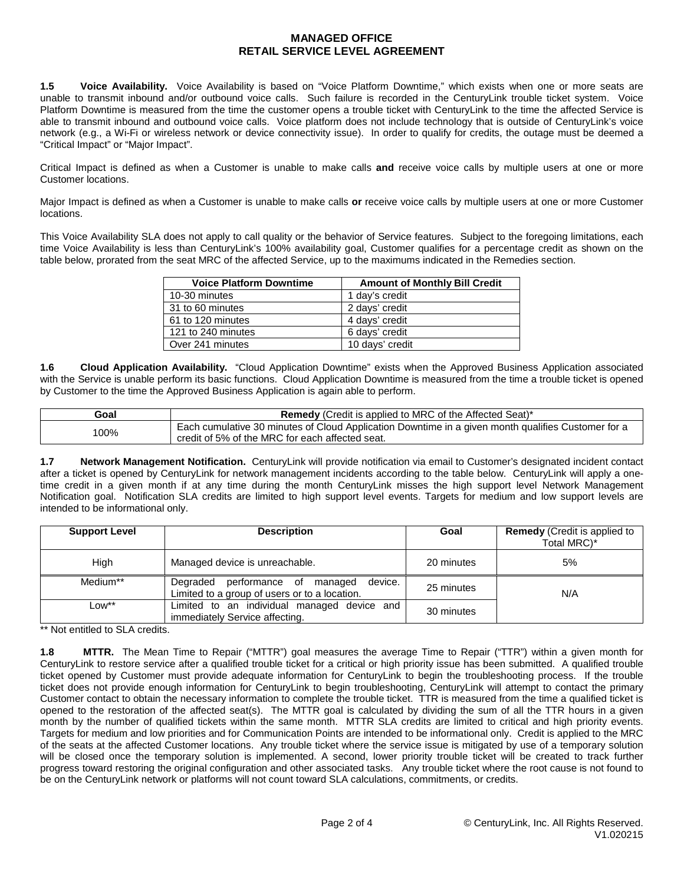**1.5 Voice Availability.** Voice Availability is based on "Voice Platform Downtime," which exists when one or more seats are unable to transmit inbound and/or outbound voice calls. Such failure is recorded in the CenturyLink trouble ticket system. Voice Platform Downtime is measured from the time the customer opens a trouble ticket with CenturyLink to the time the affected Service is able to transmit inbound and outbound voice calls. Voice platform does not include technology that is outside of CenturyLink's voice network (e.g., a Wi-Fi or wireless network or device connectivity issue). In order to qualify for credits, the outage must be deemed a "Critical Impact" or "Major Impact".

Critical Impact is defined as when a Customer is unable to make calls **and** receive voice calls by multiple users at one or more Customer locations.

Major Impact is defined as when a Customer is unable to make calls **or** receive voice calls by multiple users at one or more Customer locations.

This Voice Availability SLA does not apply to call quality or the behavior of Service features. Subject to the foregoing limitations, each time Voice Availability is less than CenturyLink's 100% availability goal, Customer qualifies for a percentage credit as shown on the table below, prorated from the seat MRC of the affected Service, up to the maximums indicated in the Remedies section.

| <b>Voice Platform Downtime</b> | <b>Amount of Monthly Bill Credit</b> |
|--------------------------------|--------------------------------------|
| 10-30 minutes                  | 1 day's credit                       |
| 31 to 60 minutes               | 2 days' credit                       |
| 61 to 120 minutes              | 4 days' credit                       |
| 121 to 240 minutes             | 6 days' credit                       |
| Over 241 minutes               | 10 days' credit                      |

**1.6 Cloud Application Availability.** "Cloud Application Downtime" exists when the Approved Business Application associated with the Service is unable perform its basic functions. Cloud Application Downtime is measured from the time a trouble ticket is opened by Customer to the time the Approved Business Application is again able to perform.

| Goal | <b>Remedy</b> (Credit is applied to MRC of the Affected Seat) <sup>*</sup>                                                                            |  |  |
|------|-------------------------------------------------------------------------------------------------------------------------------------------------------|--|--|
| 00%ا | Each cumulative 30 minutes of Cloud Application Downtime in a given month qualifies Customer for a<br>credit of 5% of the MRC for each affected seat. |  |  |

**1.7 Network Management Notification.** CenturyLink will provide notification via email to Customer's designated incident contact after a ticket is opened by CenturyLink for network management incidents according to the table below. CenturyLink will apply a onetime credit in a given month if at any time during the month CenturyLink misses the high support level Network Management Notification goal. Notification SLA credits are limited to high support level events. Targets for medium and low support levels are intended to be informational only.

| <b>Support Level</b> | <b>Description</b>                                                                          | Goal       | <b>Remedy</b> (Credit is applied to<br>Total MRC)* |
|----------------------|---------------------------------------------------------------------------------------------|------------|----------------------------------------------------|
| High                 | Managed device is unreachable.                                                              | 20 minutes | 5%                                                 |
| Medium**             | device.<br>Degraded performance of managed<br>Limited to a group of users or to a location. | 25 minutes | N/A                                                |
| $Low***$             | Limited to an individual managed device and<br>immediately Service affecting.               | 30 minutes |                                                    |

\*\* Not entitled to SLA credits.

**1.8 MTTR.** The Mean Time to Repair ("MTTR") goal measures the average Time to Repair ("TTR") within a given month for CenturyLink to restore service after a qualified trouble ticket for a critical or high priority issue has been submitted. A qualified trouble ticket opened by Customer must provide adequate information for CenturyLink to begin the troubleshooting process. If the trouble ticket does not provide enough information for CenturyLink to begin troubleshooting, CenturyLink will attempt to contact the primary Customer contact to obtain the necessary information to complete the trouble ticket. TTR is measured from the time a qualified ticket is opened to the restoration of the affected seat(s). The MTTR goal is calculated by dividing the sum of all the TTR hours in a given month by the number of qualified tickets within the same month. MTTR SLA credits are limited to critical and high priority events. Targets for medium and low priorities and for Communication Points are intended to be informational only. Credit is applied to the MRC of the seats at the affected Customer locations. Any trouble ticket where the service issue is mitigated by use of a temporary solution will be closed once the temporary solution is implemented. A second, lower priority trouble ticket will be created to track further progress toward restoring the original configuration and other associated tasks. Any trouble ticket where the root cause is not found to be on the CenturyLink network or platforms will not count toward SLA calculations, commitments, or credits.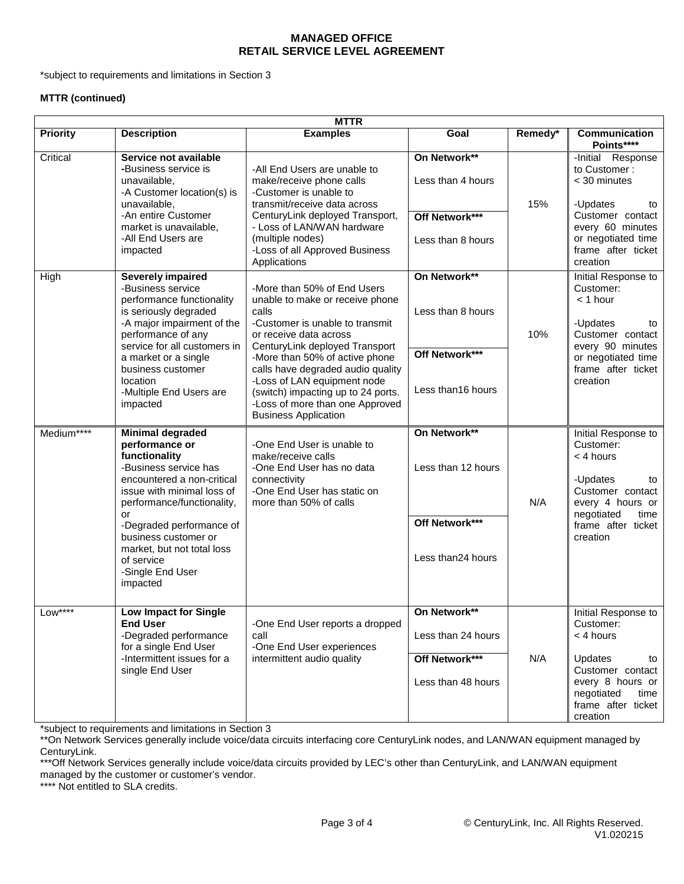\*subject to requirements and limitations in Section 3

### **MTTR (continued)**

| <b>MTTR</b>     |                                                                                                                                                                                                                                                                                                                     |                                                                                                                                                                                                                                                                                                                                                                                      |                                                                            |         |                                                                                                                                                                     |
|-----------------|---------------------------------------------------------------------------------------------------------------------------------------------------------------------------------------------------------------------------------------------------------------------------------------------------------------------|--------------------------------------------------------------------------------------------------------------------------------------------------------------------------------------------------------------------------------------------------------------------------------------------------------------------------------------------------------------------------------------|----------------------------------------------------------------------------|---------|---------------------------------------------------------------------------------------------------------------------------------------------------------------------|
| <b>Priority</b> | <b>Description</b>                                                                                                                                                                                                                                                                                                  | <b>Examples</b>                                                                                                                                                                                                                                                                                                                                                                      | Goal                                                                       | Remedy* | Communication<br>Points****                                                                                                                                         |
| Critical        | Service not available<br>-Business service is<br>unavailable,<br>-A Customer location(s) is<br>unavailable,<br>-An entire Customer<br>market is unavailable.<br>-All End Users are<br>impacted                                                                                                                      | -All End Users are unable to<br>make/receive phone calls<br>-Customer is unable to<br>transmit/receive data across<br>CenturyLink deployed Transport,<br>- Loss of LAN/WAN hardware<br>(multiple nodes)<br>-Loss of all Approved Business<br>Applications                                                                                                                            | On Network**<br>Less than 4 hours<br>Off Network***<br>Less than 8 hours   | 15%     | -Initial Response<br>to Customer:<br>< 30 minutes<br>-Updates<br>to<br>Customer contact<br>every 60 minutes<br>or negotiated time<br>frame after ticket<br>creation |
| High            | <b>Severely impaired</b><br>-Business service<br>performance functionality<br>is seriously degraded<br>-A major impairment of the<br>performance of any<br>service for all customers in<br>a market or a single<br>business customer<br>location<br>-Multiple End Users are<br>impacted                             | -More than 50% of End Users<br>unable to make or receive phone<br>calls<br>-Customer is unable to transmit<br>or receive data across<br>CenturyLink deployed Transport<br>-More than 50% of active phone<br>calls have degraded audio quality<br>-Loss of LAN equipment node<br>(switch) impacting up to 24 ports.<br>-Loss of more than one Approved<br><b>Business Application</b> | On Network**<br>Less than 8 hours<br>Off Network***<br>Less than16 hours   | 10%     | Initial Response to<br>Customer:<br>$<$ 1 hour<br>-Updates<br>to<br>Customer contact<br>every 90 minutes<br>or negotiated time<br>frame after ticket<br>creation    |
| Medium****      | <b>Minimal degraded</b><br>performance or<br>functionality<br>-Business service has<br>encountered a non-critical<br>issue with minimal loss of<br>performance/functionality,<br>or<br>-Degraded performance of<br>business customer or<br>market, but not total loss<br>of service<br>-Single End User<br>impacted | -One End User is unable to<br>make/receive calls<br>-One End User has no data<br>connectivity<br>-One End User has static on<br>more than 50% of calls                                                                                                                                                                                                                               | On Network**<br>Less than 12 hours<br>Off Network***<br>Less than24 hours  | N/A     | Initial Response to<br>Customer:<br>< 4 hours<br>-Updates<br>to<br>Customer contact<br>every 4 hours or<br>negotiated<br>time<br>frame after ticket<br>creation     |
| $Low***$        | <b>Low Impact for Single</b><br><b>End User</b><br>-Degraded performance<br>for a single End User<br>-Intermittent issues for a<br>single End User                                                                                                                                                                  | -One End User reports a dropped<br>call<br>-One End User experiences<br>intermittent audio quality                                                                                                                                                                                                                                                                                   | On Network**<br>Less than 24 hours<br>Off Network***<br>Less than 48 hours | N/A     | Initial Response to<br>Customer:<br>< 4 hours<br>Updates<br>to<br>Customer contact<br>every 8 hours or<br>negotiated<br>time<br>frame after ticket<br>creation      |

\*subject to requirements and limitations in Section 3

\*\*\*Off Network Services generally include voice/data circuits provided by LEC's other than CenturyLink, and LAN/WAN equipment managed by the customer or customer's vendor.

\*\*\*\* Not entitled to SLA credits.

<sup>\*\*</sup>On Network Services generally include voice/data circuits interfacing core CenturyLink nodes, and LAN/WAN equipment managed by CenturyLink.